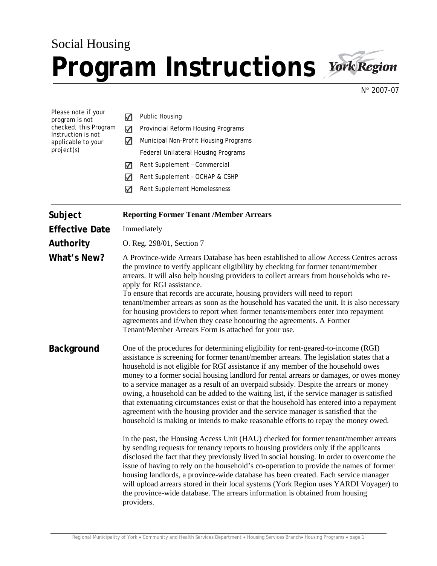## Social Housing Program Instructions **York Region**



N° 2007-07

| Please note if your<br>program is not<br>checked, this Program<br>Instruction is not<br>applicable to your<br>project(s) | ✓<br>✓<br>✓<br>✓<br>✓<br>✓                                                                                                                                                                                                                                                                                                                                                                                                                                                                                                                                                                                                                                                                                                                                                                                                                                                                                                                                                                                                                                                                                                                                                                                                                                                                                                                                                                                                                                | <b>Public Housing</b><br>Provincial Reform Housing Programs<br>Municipal Non-Profit Housing Programs<br>Federal Unilateral Housing Programs<br>Rent Supplement - Commercial<br>Rent Supplement - OCHAP & CSHP<br>Rent Supplement Homelessness |  |
|--------------------------------------------------------------------------------------------------------------------------|-----------------------------------------------------------------------------------------------------------------------------------------------------------------------------------------------------------------------------------------------------------------------------------------------------------------------------------------------------------------------------------------------------------------------------------------------------------------------------------------------------------------------------------------------------------------------------------------------------------------------------------------------------------------------------------------------------------------------------------------------------------------------------------------------------------------------------------------------------------------------------------------------------------------------------------------------------------------------------------------------------------------------------------------------------------------------------------------------------------------------------------------------------------------------------------------------------------------------------------------------------------------------------------------------------------------------------------------------------------------------------------------------------------------------------------------------------------|-----------------------------------------------------------------------------------------------------------------------------------------------------------------------------------------------------------------------------------------------|--|
| Subject                                                                                                                  | <b>Reporting Former Tenant /Member Arrears</b>                                                                                                                                                                                                                                                                                                                                                                                                                                                                                                                                                                                                                                                                                                                                                                                                                                                                                                                                                                                                                                                                                                                                                                                                                                                                                                                                                                                                            |                                                                                                                                                                                                                                               |  |
| <b>Effective Date</b>                                                                                                    | Immediately                                                                                                                                                                                                                                                                                                                                                                                                                                                                                                                                                                                                                                                                                                                                                                                                                                                                                                                                                                                                                                                                                                                                                                                                                                                                                                                                                                                                                                               |                                                                                                                                                                                                                                               |  |
| Authority                                                                                                                | O. Reg. 298/01, Section 7                                                                                                                                                                                                                                                                                                                                                                                                                                                                                                                                                                                                                                                                                                                                                                                                                                                                                                                                                                                                                                                                                                                                                                                                                                                                                                                                                                                                                                 |                                                                                                                                                                                                                                               |  |
| What's New?                                                                                                              | A Province-wide Arrears Database has been established to allow Access Centres across<br>the province to verify applicant eligibility by checking for former tenant/member<br>arrears. It will also help housing providers to collect arrears from households who re-<br>apply for RGI assistance.<br>To ensure that records are accurate, housing providers will need to report<br>tenant/member arrears as soon as the household has vacated the unit. It is also necessary<br>for housing providers to report when former tenants/members enter into repayment<br>agreements and if/when they cease honouring the agreements. A Former<br>Tenant/Member Arrears Form is attached for your use.                                                                                                                                                                                                                                                                                                                                                                                                                                                                                                                                                                                                                                                                                                                                                          |                                                                                                                                                                                                                                               |  |
| <b>Background</b>                                                                                                        | One of the procedures for determining eligibility for rent-geared-to-income (RGI)<br>assistance is screening for former tenant/member arrears. The legislation states that a<br>household is not eligible for RGI assistance if any member of the household owes<br>money to a former social housing landlord for rental arrears or damages, or owes money<br>to a service manager as a result of an overpaid subsidy. Despite the arrears or money<br>owing, a household can be added to the waiting list, if the service manager is satisfied<br>that extenuating circumstances exist or that the household has entered into a repayment<br>agreement with the housing provider and the service manager is satisfied that the<br>household is making or intends to make reasonable efforts to repay the money owed.<br>In the past, the Housing Access Unit (HAU) checked for former tenant/member arrears<br>by sending requests for tenancy reports to housing providers only if the applicants<br>disclosed the fact that they previously lived in social housing. In order to overcome the<br>issue of having to rely on the household's co-operation to provide the names of former<br>housing landlords, a province-wide database has been created. Each service manager<br>will upload arrears stored in their local systems (York Region uses YARDI Voyager) to<br>the province-wide database. The arrears information is obtained from housing |                                                                                                                                                                                                                                               |  |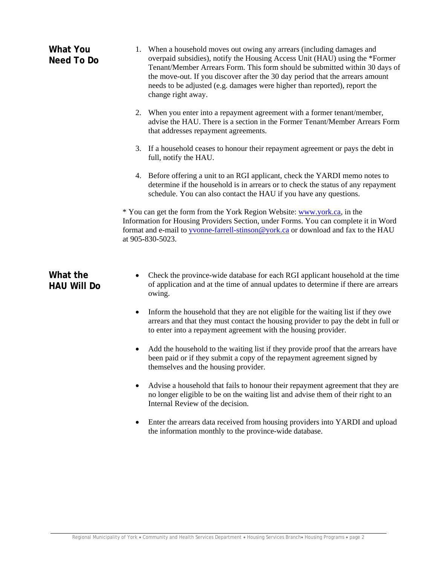| <b>What You</b><br>Need To Do  | 1. When a household moves out owing any arrears (including damages and<br>overpaid subsidies), notify the Housing Access Unit (HAU) using the *Former<br>Tenant/Member Arrears Form. This form should be submitted within 30 days of<br>the move-out. If you discover after the 30 day period that the arrears amount<br>needs to be adjusted (e.g. damages were higher than reported), report the<br>change right away. |  |  |
|--------------------------------|--------------------------------------------------------------------------------------------------------------------------------------------------------------------------------------------------------------------------------------------------------------------------------------------------------------------------------------------------------------------------------------------------------------------------|--|--|
|                                | 2. When you enter into a repayment agreement with a former tenant/member,<br>advise the HAU. There is a section in the Former Tenant/Member Arrears Form<br>that addresses repayment agreements.                                                                                                                                                                                                                         |  |  |
|                                | 3. If a household ceases to honour their repayment agreement or pays the debt in<br>full, notify the HAU.                                                                                                                                                                                                                                                                                                                |  |  |
|                                | 4. Before offering a unit to an RGI applicant, check the YARDI memo notes to<br>determine if the household is in arrears or to check the status of any repayment<br>schedule. You can also contact the HAU if you have any questions.                                                                                                                                                                                    |  |  |
|                                | * You can get the form from the York Region Website: www.york.ca, in the<br>Information for Housing Providers Section, under Forms. You can complete it in Word<br>format and e-mail to yvonne-farrell-stinson@york.ca or download and fax to the HAU<br>at 905-830-5023.                                                                                                                                                |  |  |
| What the<br><b>HAU Will Do</b> | Check the province-wide database for each RGI applicant household at the time<br>of application and at the time of annual updates to determine if there are arrears<br>owing.                                                                                                                                                                                                                                            |  |  |
|                                | Inform the household that they are not eligible for the waiting list if they owe<br>٠<br>arrears and that they must contact the housing provider to pay the debt in full or<br>to enter into a repayment agreement with the housing provider.                                                                                                                                                                            |  |  |
|                                | Add the household to the waiting list if they provide proof that the arrears have<br>been paid or if they submit a copy of the repayment agreement signed by<br>themselves and the housing provider.                                                                                                                                                                                                                     |  |  |
|                                | Advise a household that fails to honour their repayment agreement that they are<br>no longer eligible to be on the waiting list and advise them of their right to an<br>Internal Review of the decision.                                                                                                                                                                                                                 |  |  |
|                                | Enter the arrears data received from housing providers into YARDI and upload<br>٠<br>the information monthly to the province-wide database.                                                                                                                                                                                                                                                                              |  |  |
|                                |                                                                                                                                                                                                                                                                                                                                                                                                                          |  |  |